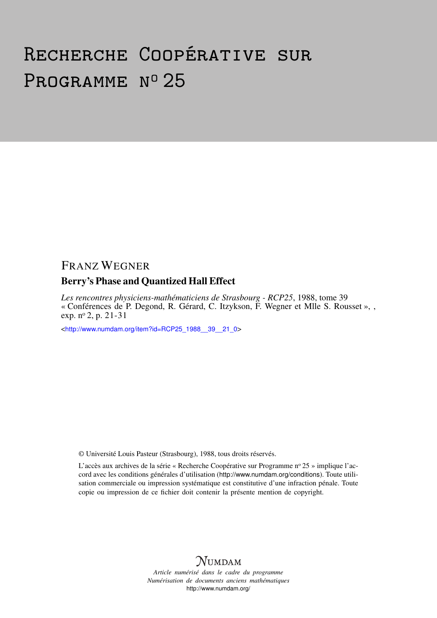# Recherche Coopérative sur PROGRAMME Nº 25

# FRANZ WEGNER

## Berry's Phase and Quantized Hall Effect

*Les rencontres physiciens-mathématiciens de Strasbourg - RCP25*, 1988, tome 39 « Conférences de P. Degond, R. Gérard, C. Itzykson, F. Wegner et Mlle S. Rousset », , exp. n<sup>o</sup> 2, p. 21-31

<[http://www.numdam.org/item?id=RCP25\\_1988\\_\\_39\\_\\_21\\_0](http://www.numdam.org/item?id=RCP25_1988__39__21_0)>

© Université Louis Pasteur (Strasbourg), 1988, tous droits réservés.

L'accès aux archives de la série « Recherche Coopérative sur Programme nº 25 » implique l'accord avec les conditions générales d'utilisation (<http://www.numdam.org/conditions>). Toute utilisation commerciale ou impression systématique est constitutive d'une infraction pénale. Toute copie ou impression de ce fichier doit contenir la présente mention de copyright.



*Article numérisé dans le cadre du programme Numérisation de documents anciens mathématiques* <http://www.numdam.org/>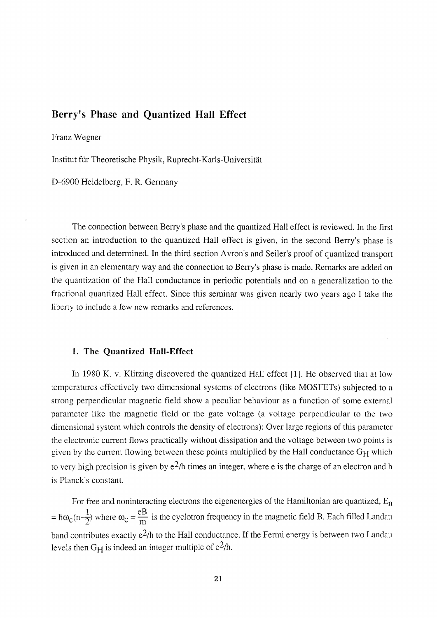## **Berry's Phase and Quantized Hall Effect**

Franz Wegner

Institut fur Theoretische Physik, Ruprecht-Karls-Universitât

D-6900 Heidelberg, F. R. Germany

The connection between Berry's phase and the quantized Hall effect is reviewed. In the first section an introduction to the quantized Hall effect is given, in the second Berry's phase is introduced and determined. In the third section Avron's and Seller's proof of quantized transport is given in an elementary way and the connection to Berry's phase is made. Remarks are added on the quantization of the Hall conductance in periodic potentials and on a generalization to the fractional quantized Hall effect. Since this seminar was given nearly two years ago I take the liberty to include a few new remarks and references.

#### **1.** The Quantized Hall-Effect

In 1980 K. v. Klitzing discovered the quantized Hall effect [1]. He observed that at low temperatures effectively two dimensional systems of electrons (like MOSFETs) subjected to a strong perpendicular magnetic field show a peculiar behaviour as a function of some external parameter like the magnetic field or the gate voltage (a voltage perpendicular to the two dimensional system which controls the density of electrons): Over large regions of this parameter the electronic current flows practically without dissipation and the voltage between two points is given by the current flowing between these points multiplied by the Hall conductance  $G_H$  which to very high precision is given by  $e^2/h$  times an integer, where e is the charge of an electron and h is Planck's constant.

For free and noninteracting electrons the eigenenergies of the Hamiltonian are quantized,  $E_n$  $1$  eB  $=$   $\log(\text{m}+\text{m})$  where  $\omega_c-\text{m}$  is the eyerotron frequency in the magnetic field B. Each fined Landau band contributes exactly  $e^{2}/h$  to the Hall conductance. If the Fermi energy is between two Landau levels then  $G_H$  is indeed an integer multiple of  $e^2/h$ .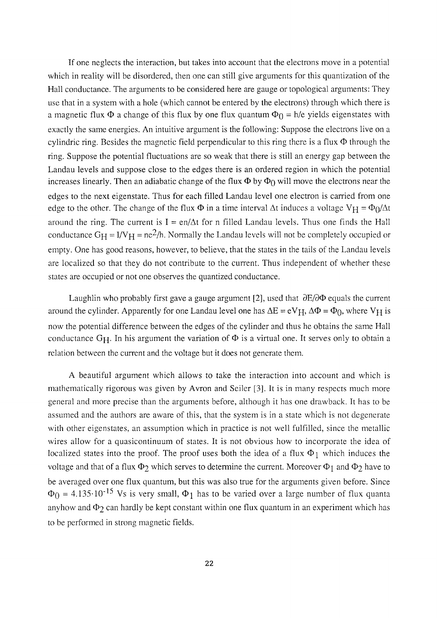If one neglects the interaction, but takes into account that the electrons move in a potential which in reality will be disordered, then one can still give arguments for this quantization of the Hall conductance. The arguments to be considered here are gauge or topological arguments: They use that in a system with a hole (which cannot be entered by the electrons) through which there is a magnetic flux  $\Phi$  a change of this flux by one flux quantum  $\Phi_0 = h/e$  yields eigenstates with exactly the same energies. An intuitive argument is the following: Suppose the electrons live on a cylindric ring. Besides the magnetic field perpendicular to this ring there is a flux  $\Phi$  through the ring. Suppose the potential fluctuations are so weak that there is still an energy gap between the Landau levels and suppose close to the edges there is an ordered region in which the potential increases linearly. Then an adiabatic change of the flux  $\Phi$  by  $\Phi_0$  will move the electrons near the edges to the next eigenstate. Thus for each filled Landau level one electron is earned from one edge to the other. The change of the flux  $\Phi$  in a time interval  $\Delta t$  induces a voltage  $V_H = \Phi_0/\Delta t$ around the ring. The current is  $I = en/\Delta t$  for n filled Landau levels. Thus one finds the Hall conductance  $G_H = I/V_H = ne^2/h$ . Normally the Landau levels will not be completely occupied or empty. One has good reasons, however, to believe, that the states in the tails of the Landau levels are localized so that they do not contribute to the current. Thus independent of whether these states are occupied or not one observes the quantized conductance.

Laughlin who probably first gave a gauge argument [2], used that  $\partial E/\partial \Phi$  equals the current around the cylinder. Apparently for one Landau level one has  $\Delta E = eV_H$ ,  $\Delta \Phi = \Phi_0$ , where  $V_H$  is now the potential difference between the edges of the cylinder and thus he obtains the same Hall conductance G<sub>H</sub>. In his argument the variation of  $\Phi$  is a virtual one. It serves only to obtain a relation between the current and the voltage but it does not generate them.

A beautiful argument which allows to take the interaction into account and which is mathematically rigorous was given by Avron and Seiler [3]. It is in many respects much more general and more precise than the arguments before, although it has one drawback. It has to be assumed and the authors are aware of this, that the system is in a state which is not degenerate with other eigenstates, an assumption which in practice is not well fulfilled, since the metallic wires allow for a quasicontinuum of states. It is not obvious how to incorporate the idea of localized states into the proof. The proof uses both the idea of a flux *Φ\* which induces the voltage and that of a flux  $Φ_2$  which serves to determine the current. Moreover  $Φ_1$  and  $Φ_2$  have to be averaged over one flux quantum, but this was also true for the arguments given before. Since  $=$  4.135 $\cdot$ 10<sup>-15</sup> Vs is very small,  $\Phi_1$  has to be varied over a large number of flux quanta anyhow and  $\Phi_2$  can hardly be kept constant within one flux quantum in an experiment which has to be performed in strong magnetic fields.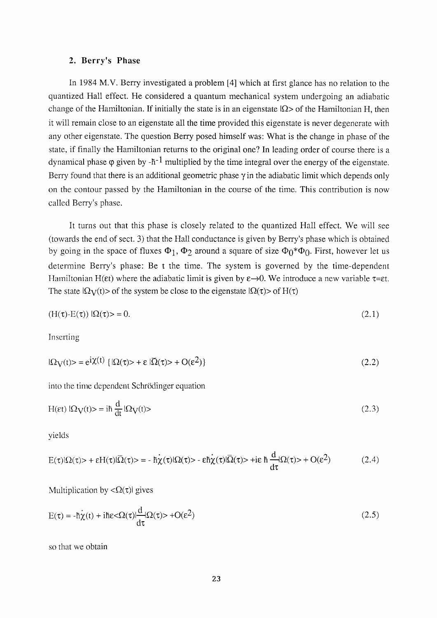#### 2. Berry's Phase

In 1984 M.V. Berry investigated a problem [4] which at first glance has no relation to the quantized Hall effect. He considered a quantum mechanical system undergoing an adiabatic change of the Hamiltonian. If initially the state is in an eigenstate  $\Omega$ > of the Hamiltonian H, then it will remain close to an eigenstate all the time provided this eigenstate is never degenerate with any other eigenstate. The question Berry posed himself was: What is the change in phase of the state, if finally the Hamiltonian returns to the original one? In leading order of course there is a dynamical phase  $\varphi$  given by -h<sup>-1</sup> multiplied by the time integral over the energy of the eigenstate. Berry found that there is an additional geometric phase  $\gamma$  in the adiabatic limit which depends only on the contour passed by the Hamiltonian in the course of the time. This contribution is now called Berry's phase.

It turns out that this phase is closely related to the quantized Hall effect. We will see (towards the end of sect. 3) that the Hall conductance is given by Berry's phase which is obtained by going in the space of fluxes *Φ\<sup>9</sup>* <I>2 around a square of size **Φο**\*Φ(> First, however let us determine Berry's phase: Be t the time. The system is governed by the time-dependent Hamiltonian H(εt) where the adiabatic limit is given by  $\varepsilon \rightarrow 0$ . We introduce a new variable  $\tau = \varepsilon t$ . The state  $\Omega_V(t)$  of the system be close to the eigenstate  $\Omega(\tau)$  of  $H(\tau)$ 

$$
(\mathbf{H}(\tau)\mathbf{-E}(\tau))\mathbf{I}\Omega(\tau) > = 0. \tag{2.1}
$$

Inserting

$$
|\Omega_V(t)\rangle = e^{i\chi(t)} \left\{ |\Omega(\tau)\rangle + \varepsilon |\overline{\Omega}(\tau)\rangle + O(\varepsilon^2) \right\}
$$
\n(2.2)

into the time dependent Schrödinger equation

$$
H(\varepsilon t) \, |\Omega_V(t)\rangle = i\hbar \, \frac{d}{dt} |\Omega_V(t)\rangle \tag{2.3}
$$

yields

$$
E(\tau)|\Omega(\tau) > + \varepsilon H(\tau)|\overline{\Omega}(\tau) > = -\hbar\chi(\tau)|\Omega(\tau) > -\varepsilon\hbar\chi(\tau)|\overline{\Omega}(\tau) > +\mathrm{i}\varepsilon\hbar\frac{d}{d\tau}\Omega(\tau) > + O(\varepsilon^2)
$$
(2.4)

Multiplication by  $\langle \Omega(\tau) |$  gives

$$
E(\tau) = -\dot{h}\dot{\chi}(t) + i\hbar\varepsilon \langle \Omega(\tau)|\frac{d}{d\tau}|\Omega(\tau)\rangle + O(\varepsilon^2)
$$
\n(2.5)

so that we obtain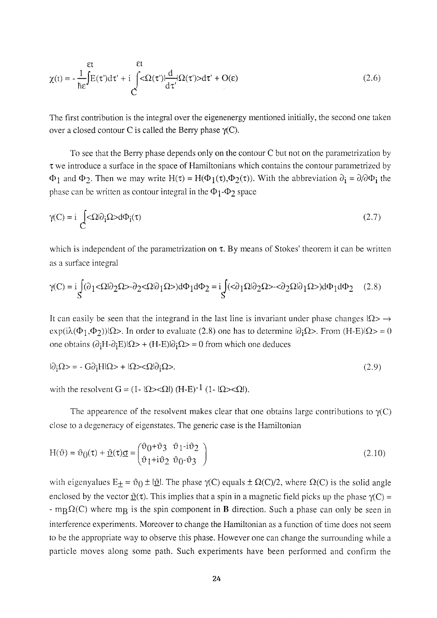$$
\chi(t) = -\frac{1}{\hbar \epsilon} \int_{\mathcal{E}}^{\epsilon t} E(\tau') d\tau' + i \int_{\mathcal{C}}^{\epsilon t} < \Omega(\tau') \frac{d}{d\tau'} \Omega(\tau') > d\tau' + O(\epsilon)
$$
\n(2.6)

The first contribution is the integral over the eigenenergy mentioned initially, the second one taken over a closed contour C is called the Berry phase  $\gamma$ (C).

To see that the Berry phase depends only on the contour C but not on the parametrization by  $\tau$  we introduce a surface in the space of Hamiltonians which contains the contour parametrized by  $\Phi_1$  and  $\Phi_2$ . Then we may write  $H(\tau) = H(\Phi_1(\tau), \Phi_2(\tau))$ . With the abbreviation  $\partial_i = \partial/\partial \Phi_i$  the phase can be written as contour integral in the  $\Phi_1$ - $\Phi_2$  space

$$
\gamma(C) = i \int_{C} \langle \Omega | \partial_{i} \Omega \rangle d\Phi_{i}(\tau) \tag{2.7}
$$

which is independent of the parametrization on  $\tau$ . By means of Stokes' theorem it can be written as a surface integral

$$
\gamma(C) = i \int_S (\partial_1 <\Omega | \partial_2 \Omega > -\partial_2 <\Omega | \partial_1 \Omega >) d\Phi_1 d\Phi_2 = i \int_S (<\partial_1 \Omega | \partial_2 \Omega > -<\partial_2 \Omega | \partial_1 \Omega >) d\Phi_1 d\Phi_2 \tag{2.8}
$$

It can easily be seen that the integrand in the last line is invariant under phase changes  $\Omega$ >  $\rightarrow$ exp( $i\lambda(\Phi_1,\Phi_2)$ )| $\Omega$ >. In order to evaluate (2.8) one has to determine  $\partial_i\Omega$ >. From (H-E)| $\Omega$ > = 0 one obtains  $(\partial_i H - \partial_i E) \Omega$  +  $(H - E) \partial_i \Omega$  = 0 from which one deduces

$$
|\partial_{\dot{I}}\Omega\rangle = -G\partial_{\dot{I}}H|\Omega\rangle + |\Omega\rangle \langle \Omega|\partial_{\dot{I}}\Omega\rangle. \tag{2.9}
$$

with the resolvent  $G = (1 - |\Omega\rangle \langle \Omega|) (H-E)^{-1} (1 - |\Omega\rangle \langle \Omega|)$ .

The appearence of the resolvent makes clear that one obtains large contributions to  $\gamma$ (C) close to a degeneracy of eigenstates. The generic case is the Hamiltonian

$$
H(\vartheta) = \vartheta_0(\tau) + \underline{\vartheta}(\tau)\underline{\sigma} = \begin{pmatrix} \vartheta_0 + \vartheta_3 & \vartheta_1 - i\vartheta_2 \\ \vartheta_1 + i\vartheta_2 & \vartheta_0 - \vartheta_3 \end{pmatrix}
$$
 (2.10)

with eigenyalues  $E_{\pm} = \vartheta_0 \pm i \underline{\vartheta}$ . The phase  $\gamma(C)$  equals  $\pm \Omega(C)/2$ , where  $\Omega(C)$  is the solid angle enclosed by the vector  $\mathcal{D}(\tau)$ . This implies that a spin in a magnetic field picks up the phase  $\gamma(C)$  =  $-$  m<sub>R</sub> $\Omega$ (C) where m<sub>R</sub> is the spin component in **B** direction. Such a phase can only be seen in interference experiments. Moreover to change the Hamiltonian as a function of time does not seem to be the appropriate way to observe this phase. However one can change the surrounding while a particle moves along some path. Such experiments have been performed and confirm the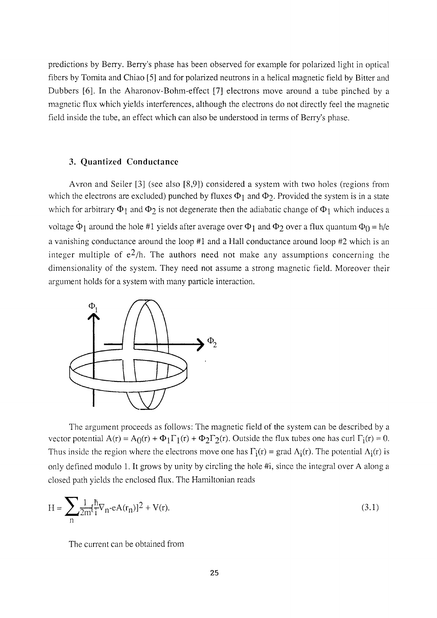predictions by Berry. Berry's phase has been observed for example for polarized light in optical fibers by Tomita and Chiao [5] and for polarized neutrons in a helical magnetic field by Bitter and Dubbers [6]. In the Aharonov-Bohm-effect [7] electrons move around a tube pinched by a magnetic flux which yields interferences, although the electrons do not directly feel the magnetic field inside the tube, an effect which can also be understood in terms of Berry's phase.

#### 3. Quantized Conductance

Avron and Seiler [3] (see also [8,9]) considered a system with two holes (regions from which the electrons are excluded) punched by fluxes  $Φ_1$  and  $Φ_2$ . Provided the system is in a state which for arbitrary  $\Phi_1$  and  $\Phi_2$  is not degenerate then the adiabatic change of  $\Phi_1$  which induces a voltage  $\dot{\Phi}_1$  around the hole #1 yields after average over  $\Phi_1$  and  $\Phi_2$  over a flux quantum  $\Phi_0 = h/e$ a vanishing conductance around the loop #1 and a Hall conductance around loop #2 which is an integer multiple of  $e^{2}/h$ . The authors need not make any assumptions concerning the dimensionality of the system. They need not assume a strong magnetic field. Moreover their argument holds for a system with many particle interaction.



The argument proceeds as follows: The magnetic field of the system can be described by a vector potential  $A(r) = A_0(r) + \Phi_1 \Gamma_1(r) + \Phi_2 \Gamma_2(r)$ . Outside the flux tubes one has curl  $\Gamma_i(r) = 0$ . Thus inside the region where the electrons move one has  $\Gamma_i(r)$  = grad  $\Lambda_i(r)$ . The potential  $\Lambda_i(r)$  is only defined modulo 1. It grows by unity by circling the hole #i, since the integral over A along a closed path yields the enclosed flux. The Hamiltonian reads

$$
H = \sum_{n} \frac{1}{2m} \left[ \frac{\hbar}{i} \nabla_n - eA(r_n) \right]^2 + V(r). \tag{3.1}
$$

The current can be obtained from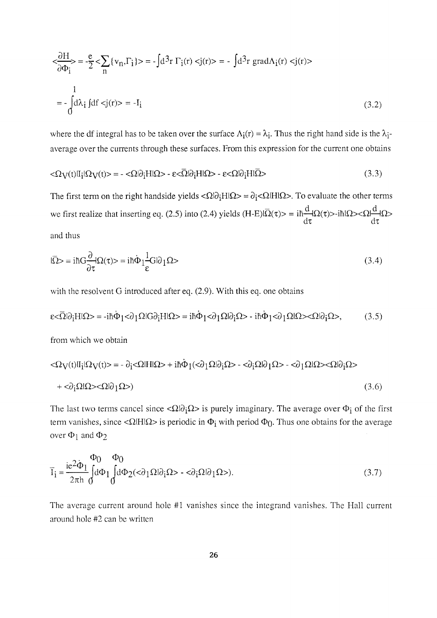$$
\langle \frac{\partial H}{\partial \Phi_i} \rangle = -\frac{e}{2} \langle \sum_n \{v_n, \Gamma_i\} \rangle = -\int d^3 r \Gamma_i(r) \langle j(r) \rangle = -\int d^3 r \, \text{grad}\Lambda_i(r) \langle j(r) \rangle
$$
  

$$
= -\int_0^1 d\lambda_i \, \text{d}f \langle j(r) \rangle = -I_i \tag{3.2}
$$

where the df integral has to be taken over the surface  $\Lambda_i(r) = \lambda_i$ . Thus the right hand side is the  $\lambda_i$ average over the currents through these surfaces. From this expression for the current one obtains

$$
\langle \Omega_V(t) | I_i | \Omega_V(t) \rangle = - \langle \Omega | \partial_i H | \Omega \rangle - \varepsilon \langle \overline{\Omega} | \partial_i H | \Omega \rangle - \varepsilon \langle \Omega | \partial_i H | \overline{\Omega} \rangle \tag{3.3}
$$

The first term on the right handside yields  $\langle \Omega | \partial_i H | \Omega \rangle = \partial_i \langle \Omega | H | \Omega \rangle$ . To evaluate the other terms we first realize that inserting eq. (2.5) into (2.4) yields (H-E) $\Omega(\tau) > \pi \frac{H}{L} \Omega(\tau) > -i\hbar \frac{N}{L} \Omega(\tau) > -i\frac{N}{L} \Omega(\tau)$  $d\tau$  dx and thus

$$
|\overline{\Omega}\rangle = i\hbar G \frac{\partial}{\partial \tau} |\Omega(\tau)\rangle = i\hbar \dot{\Phi}_1 \frac{1}{\epsilon} G |\partial_1 \Omega \rangle
$$
\n(3.4)

with the resolvent G introduced after eq. (2.9). With this eq. one obtains

$$
\varepsilon < \overline{\Omega}|\partial_i H|\Omega> = -i\hbar \dot{\Phi}_1 < \partial_1 \Omega|G\partial_i H|\Omega> = i\hbar \dot{\Phi}_1 < \partial_1 \Omega|\partial_i \Omega> - i\hbar \dot{\Phi}_1 < \partial_1 \Omega|\Omega> < \Omega|\partial_i \Omega> ,\tag{3.5}
$$

from which we obtain

$$
\langle \Omega_V(t) | I_i | \Omega_V(t) \rangle = - \partial_i \langle \Omega | H | \Omega \rangle + i \hbar \Phi_1(\langle \partial_1 \Omega | \partial_i \Omega \rangle - \langle \partial_i \Omega | \partial_1 \Omega \rangle - \langle \partial_1 \Omega | \Omega \rangle \langle \Omega | \partial_i \Omega \rangle
$$
  
+
$$
\langle \partial_i \Omega | \Omega \rangle \langle \Omega | \partial_1 \Omega \rangle)
$$
(3.6)

The last two terms cancel since  $\langle \Omega | \partial_i \Omega \rangle$  is purely imaginary. The average over  $\Phi_i$  of the first term vanishes, since < $\Omega$ IHI $\Omega$ > is periodic in  $\Phi_i$  with period  $\Phi_0$ . Thus one obtains for the average over  $\Phi_1$  and  $\Phi_2$ 

$$
\overline{I}_i = \frac{ie^2 \dot{\Phi}_1}{2\pi h} \int_0^{\Phi_0} d\Phi_1 \int_0^{\Phi_2} d\Phi_2 \left( \langle \partial_1 \Omega | \partial_i \Omega \rangle - \langle \partial_i \Omega | \partial_1 \Omega \rangle \right). \tag{3.7}
$$

The average current around hole #1 vanishes since the integrand vanishes. The Hall current around hole #2 can be written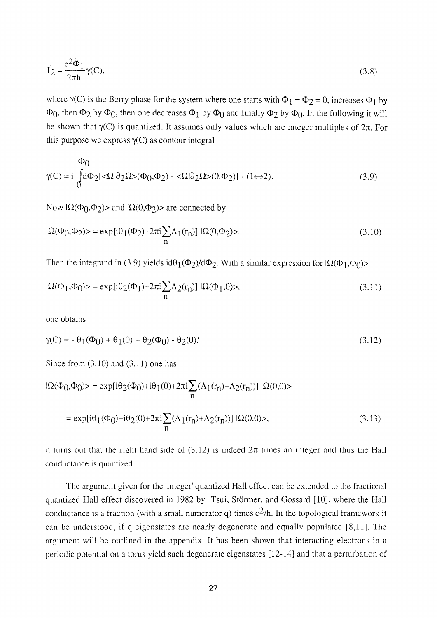$$
\overline{I}_2 = \frac{e^2 \dot{\Phi}_1}{2\pi h} \gamma(C),\tag{3.8}
$$

where  $\gamma$ (C) is the Berry phase for the system where one starts with  $\Phi_1 = \Phi_2 = 0$ , increases  $\Phi_1$  by  $\Phi_0$ , then  $\Phi_2$  by  $\Phi_0$ , then one decreases  $\Phi_1$  by  $\Phi_0$  and finally  $\Phi_2$  by  $\Phi_0$ . In the following it will be shown that  $\gamma(C)$  is quantized. It assumes only values which are integer multiples of  $2\pi$ . For this purpose we express  $\gamma(C)$  as contour integral

$$
\Phi_0
$$
  
\n
$$
\gamma(C) = i \int_0^{\tilde{\Phi}_0} d\Phi_2[<\Omega|\partial_2\Omega>(\Phi_0,\Phi_2) - <\Omega|\partial_2\Omega>0,\Phi_2)] - (1 \leftrightarrow 2).
$$
\n(3.9)

Now  $\Omega(\Phi_0, \Phi_2)$  and  $\Omega(0, \Phi_2)$  are connected by

$$
|\Omega(\Phi_0, \Phi_2)\rangle = \exp[i\theta_1(\Phi_2) + 2\pi i \sum_{n} \Lambda_1(r_n)] |\Omega(0, \Phi_2)\rangle.
$$
\n(3.10)

Then the integrand in (3.9) yields id $\theta_1(\Phi_2)/d\Phi_2$ . With a similar expression for  $\Omega(\Phi_1,\Phi_0)$ 

$$
|\Omega(\Phi_1, \Phi_0)\rangle = \exp[i\theta_2(\Phi_1) + 2\pi i \sum_{n} \Lambda_2(r_n)] |\Omega(\Phi_1, 0)\rangle. \tag{3.11}
$$

one obtains

$$
\gamma(C) = -\theta_1(\Phi_0) + \theta_1(0) + \theta_2(\Phi_0) - \theta_2(0). \tag{3.12}
$$

Since from  $(3.10)$  and  $(3.11)$  one has

$$
|\Omega(\Phi_0, \Phi_0)\rangle = \exp[i\theta_2(\Phi_0) + i\theta_1(0) + 2\pi i \sum_n (\Lambda_1(r_n) + \Lambda_2(r_n))] |\Omega(0, 0)\rangle
$$
  
=  $\exp[i\theta_1(\Phi_0) + i\theta_2(0) + 2\pi i \sum_n (\Lambda_1(r_n) + \Lambda_2(r_n))] |\Omega(0, 0)\rangle,$  (3.13)

it turns out that the right hand side of  $(3.12)$  is indeed  $2\pi$  times an integer and thus the Hall conductance is quantized.

The argument given for the 'integer' quantized Hall effect can be extended to the fractional quantized Hall effect discovered in 1982 by Tsui, Stormer, and Gossard [10], where the Hall conductance is a fraction (with a small numerator q) times  $e^2/h$ . In the topological framework it can be understood, if q eigenstates are nearly degenerate and equally populated [8,11]. The argument will be outlined in the appendix. It has been shown that interacting electrons in a periodic potential on a torus yield such degenerate eigenstates [12-14] and that a perturbation of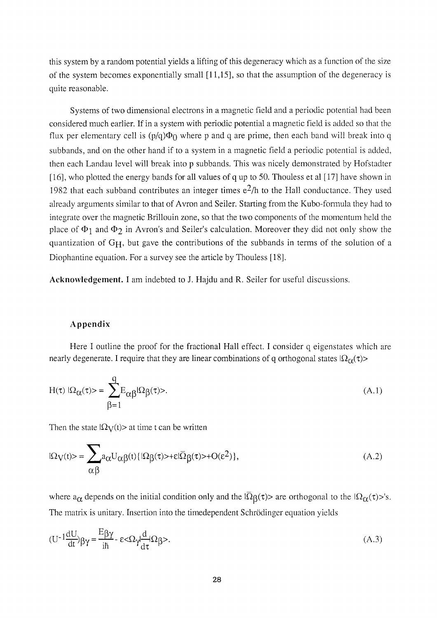this system by a random potential yields a lifting of this degeneracy which as a function of the size of the system becomes exponentially small [11,15], so that the assumption of the degeneracy is quite reasonable.

Systems of two dimensional electrons in a magnetic field and a periodic potential had been considered much earlier. If in a system with periodic potential a magnetic field is added so that the flux per elementary cell is  $(p/q)\Phi_0$  where p and q are prime, then each band will break into q subbands, and on the other hand if to a system in a magnetic field a periodic potential is added, then each Landau level will break into p subbands. This was nicely demonstrated by Hofstadter [16], who plotted the energy bands for all values of q up to 50. Thouless et al [17] have shown in 1982 that each subband contributes an integer times  $e^{2}/h$  to the Hall conductance. They used already arguments similar to that of Avron and Seiler. Starting from the Kubo-formula they had to integrate over the magnetic Brillouin zone, so that the two components of the momentum held the place of  $\Phi_1$  and  $\Phi_2$  in Avron's and Seiler's calculation. Moreover they did not only show the quantization of  $G_H$ , but gave the contributions of the subbands in terms of the solution of a Diophantine equation. For a survey see the article by Thouless [18].

Acknowledgement. I am indebted to J. Hajdu and R. Seiler for useful discussions.

#### Appendix

Here I outline the proof for the fractional Hall effect. I consider q eigenstates which are nearly degenerate. I require that they are linear combinations of q orthogonal states  $|\Omega_{\alpha}(t)\rangle$ 

$$
H(\tau) |\Omega_{\alpha}(\tau)\rangle = \sum_{\beta=1}^{q} E_{\alpha\beta} |\Omega_{\beta}(\tau)\rangle.
$$
 (A.1)

Then the state  $|\Omega_V(t)\rangle$  at time t can be written

$$
|\Omega_V(t)\rangle = \sum_{\alpha\beta} a_{\alpha} U_{\alpha\beta}(t) \{ |\Omega_{\beta}(\tau)\rangle + \epsilon |\overline{\Omega}_{\beta}(\tau)\rangle + O(\epsilon^2) \},
$$
\n(A.2)

where  $a_{\alpha}$  depends on the initial condition only and the  $|\overline{\Omega}_{\beta}(\tau)\rangle$  are orthogonal to the  $|\Omega_{\alpha}(\tau)\rangle$ 's. The matrix is unitary. Insertion into the timedependent Schrodinger equation yields

$$
(U^{-1}\frac{dU}{dt})\beta\gamma = \frac{E\beta\gamma}{i\hbar} - \varepsilon \langle \Omega \gamma \frac{d}{d\tau} | \Omega \beta \rangle.
$$
 (A.3)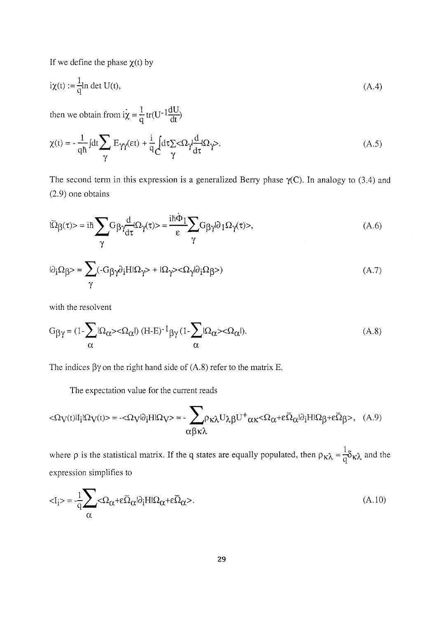If we define the phase  $\chi(t)$  by

$$
i\chi(t) := \frac{1}{q} \ln \det U(t),\tag{A.4}
$$

then we obtain from  $i\dot{\chi} = \frac{1}{q} tr(U^{-1} \frac{dU}{dt})$ 

$$
\chi(t) = -\frac{1}{q\hbar} \int dt \sum_{\gamma} E_{\gamma\gamma}(\epsilon t) + \frac{i}{q} \int_{\gamma} d\tau \sum_{\gamma} < \Omega_{\gamma} \frac{d}{d\tau} \Omega_{\gamma}.
$$
\n(A.5)

The second term in this expression is a generalized Berry phase  $\gamma$ (C). In analogy to (3.4) and (2.9) one obtains

$$
I\overline{\Omega}\beta(\tau) > \dot{=} i\hbar \sum_{\gamma} G_{\beta} \gamma \frac{d}{d\tau} \Omega_{\gamma}(\tau) > \dot{=} \frac{i\hbar \dot{\Phi}_1}{\epsilon} \sum_{\gamma} G_{\beta} \gamma \partial_1 \Omega_{\gamma}(\tau) > , \tag{A.6}
$$

$$
|\partial_{\dot{1}}\Omega_{\dot{\beta}}\rangle = \sum_{\gamma} (-G_{\dot{\beta}}\gamma \partial_{\dot{1}}H|\Omega_{\gamma}\rangle + i\Omega_{\gamma}\rangle \langle \Omega_{\gamma}|\partial_{\dot{1}}\Omega_{\dot{\beta}}\rangle)
$$
(A.7)

with the resolvent

$$
G_{\beta\gamma} = (1 - \sum_{\alpha} |\Omega_{\alpha}\rangle \langle \Omega_{\alpha}|) (H - E)^{-1} \beta \gamma (1 - \sum_{\alpha} |\Omega_{\alpha}\rangle \langle \Omega_{\alpha}|). \tag{A.8}
$$

The indices  $\beta \gamma$  on the right hand side of (A.8) refer to the matrix E.

The expectation value for the current reads

$$
<\!\!\Omega_V\!(t)|I_j|\Omega_V\!(t)\!\!>=-\!<\!\!\Omega_V\!|\partial_iH|\Omega_V\!\!>=-\sum_{\alpha\beta\kappa\lambda}\!\!\rho_{\kappa\lambda}U_{\lambda\beta}U^+\alpha_{\kappa}\!<\!\Omega_{\alpha}\!+\!\epsilon\bar{\Omega}_{\alpha}|\partial_iH|\Omega_{\beta}\!+\!\epsilon\bar{\Omega}_{\beta}\!\!>,\eqno(A.9)
$$

where  $\rho$  is the statistical matrix. If the q states are equally populated, then  $\rho_{\kappa \lambda} = \frac{1}{q} \delta_{\kappa \lambda}$  and the expression simplifies to

$$
\langle I_{i}\rangle = -\frac{1}{q} \sum_{\alpha} \langle \Omega_{\alpha} + \varepsilon \overline{\Omega}_{\alpha} | \partial_{i} H | \Omega_{\alpha} + \varepsilon \overline{\Omega}_{\alpha} \rangle. \tag{A.10}
$$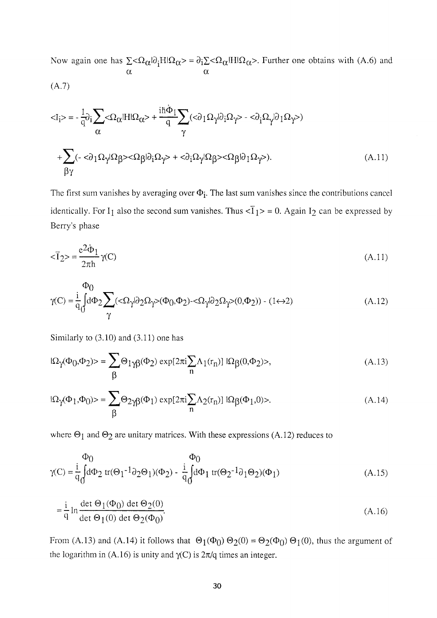Now again one has  $\sum < \Omega_{\alpha} |\partial_i H| \Omega_{\alpha} > = \partial_i \sum < \Omega_{\alpha} |H| \Omega_{\alpha} >$ . Further one obtains with (A.6) and α

$$
(A.7)
$$

$$
\langle I_{i}\rangle = -\frac{1}{q}\partial_{i}\sum_{\alpha}\langle\Omega_{\alpha}|H|\Omega_{\alpha}\rangle + \frac{i\hbar\dot{\Phi}_{1}}{q}\sum_{\gamma}(\langle\partial_{1}\Omega_{\gamma}|\partial_{i}\Omega_{\gamma}\rangle - \langle\partial_{i}\Omega_{\gamma}|\partial_{1}\Omega_{\gamma}\rangle)
$$

$$
+\sum_{\beta\gamma}(-\langle\partial_{1}\Omega_{\gamma}|\Omega_{\beta}\rangle - \langle\Omega_{\beta}|\partial_{i}\Omega_{\gamma}\rangle + \langle\partial_{i}\Omega_{\gamma}|\Omega_{\beta}\rangle - \langle\Omega_{\beta}|\partial_{1}\Omega_{\gamma}\rangle). \tag{A.11}
$$

The first sum vanishes by averaging over *Φ[.* The last sum vanishes since the contributions cancel identically. For I<sub>1</sub> also the second sum vanishes. Thus  $\langle \overline{I}_1 \rangle = 0$ . Again I<sub>2</sub> can be expressed by Berry's phase

$$
\langle \overline{1}_2 \rangle = \frac{e^2 \dot{\Phi}_1}{2\pi h} \gamma(C) \tag{A.11}
$$

$$
\gamma(C) = \frac{i}{q_0} \int d\Phi_2 \sum_{\gamma} (\langle \Omega_{\gamma} | \partial_2 \Omega_{\gamma} \rangle (\Phi_0, \Phi_2) - \langle \Omega_{\gamma} | \partial_2 \Omega_{\gamma} \rangle (0, \Phi_2)) - (1 \leftrightarrow 2)
$$
 (A.12)

Similarly to  $(3.10)$  and  $(3.11)$  one has

$$
|\Omega_{\gamma}(\Phi_0, \Phi_2)\rangle = \sum_{\beta} \Theta_{1\gamma\beta}(\Phi_2) \exp[2\pi i \sum_{n} \Lambda_1(r_n)] |\Omega_{\beta}(0, \Phi_2)\rangle, \tag{A.13}
$$

$$
|\Omega_{\gamma}(\Phi_1, \Phi_0)\rangle = \sum_{\beta} \Theta_{2\gamma\beta}(\Phi_1) \exp[2\pi i \sum_{n} \Lambda_2(r_n)] |\Omega_{\beta}(\Phi_1, 0)\rangle. \tag{A.14}
$$

where  $\Theta_1$  and  $\Theta_2$  are unitary matrices. With these expressions (A.12) reduces to

$$
\gamma(C) = \frac{i}{q_0} \int d\Phi_2 \text{ tr}(\Theta_1^{-1} \partial_2 \Theta_1)(\Phi_2) - \frac{i}{q_0} \int d\Phi_1 \text{ tr}(\Theta_2^{-1} \partial_1 \Theta_2)(\Phi_1)
$$
(A.15)

$$
= \frac{i}{q} \ln \frac{\det \Theta_1(\Phi_0) \det \Theta_2(0)}{\det \Theta_1(0) \det \Theta_2(\Phi_0)}.
$$
 (A.16)

From (A.13) and (A.14) it follows that  $\Theta_1(\Phi_0) \Theta_2(0) = \Theta_2(\Phi_0) \Theta_1(0)$ , thus the argument of the logarithm in (A.16) is unity and  $\gamma$ (C) is  $2\pi$ /q times an integer.